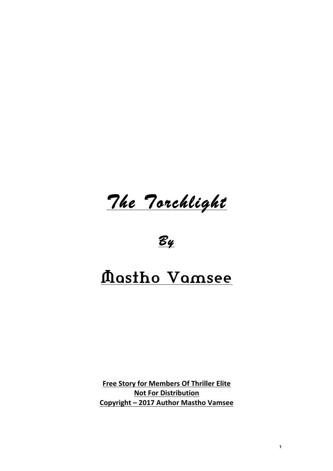*The Torchlight* 

*By* 

# Mastho Vamsee

**Free Story for Members Of Thriller Elite Not For Distribution Copyright – 2017 Author Mastho Vamsee**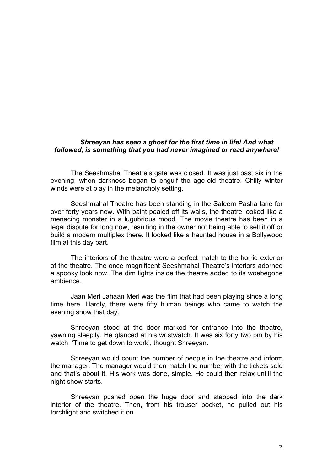## *Shreeyan has seen a ghost for the first time in life! And what followed, is something that you had never imagined or read anywhere!*

The Seeshmahal Theatre's gate was closed. It was just past six in the evening, when darkness began to engulf the age-old theatre. Chilly winter winds were at play in the melancholy setting.

Seeshmahal Theatre has been standing in the Saleem Pasha lane for over forty years now. With paint pealed off its walls, the theatre looked like a menacing monster in a lugubrious mood. The movie theatre has been in a legal dispute for long now, resulting in the owner not being able to sell it off or build a modern multiplex there. It looked like a haunted house in a Bollywood film at this day part.

The interiors of the theatre were a perfect match to the horrid exterior of the theatre. The once magnificent Seeshmahal Theatre's interiors adorned a spooky look now. The dim lights inside the theatre added to its woebegone ambience.

Jaan Meri Jahaan Meri was the film that had been playing since a long time here. Hardly, there were fifty human beings who came to watch the evening show that day.

Shreeyan stood at the door marked for entrance into the theatre, yawning sleepily. He glanced at his wristwatch. It was six forty two pm by his watch. 'Time to get down to work', thought Shreeyan.

Shreeyan would count the number of people in the theatre and inform the manager. The manager would then match the number with the tickets sold and that's about it. His work was done, simple. He could then relax untill the night show starts.

Shreeyan pushed open the huge door and stepped into the dark interior of the theatre. Then, from his trouser pocket, he pulled out his torchlight and switched it on.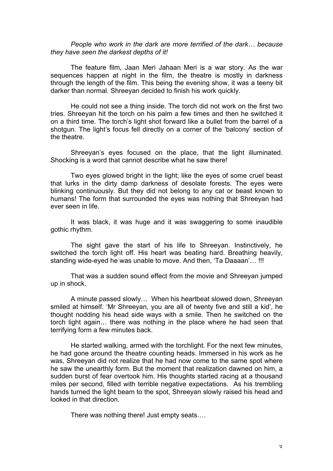*People who work in the dark are more terrified of the dark… because they have seen the darkest depths of it!*

The feature film, Jaan Meri Jahaan Meri is a war story. As the war sequences happen at night in the film, the theatre is mostly in darkness through the length of the film. This being the evening show, it was a teeny bit darker than normal. Shreeyan decided to finish his work quickly.

He could not see a thing inside. The torch did not work on the first two tries. Shreeyan hit the torch on his palm a few times and then he switched it on a third time. The torch's light shot forward like a bullet from the barrel of a shotgun. The light's focus fell directly on a corner of the 'balcony' section of the theatre.

Shreeyan's eyes focused on the place, that the light illuminated. Shocking is a word that cannot describe what he saw there!

Two eyes glowed bright in the light; like the eyes of some cruel beast that lurks in the dirty damp darkness of desolate forests. The eyes were blinking continuously. But they did not belong to any cat or beast known to humans! The form that surrounded the eyes was nothing that Shreeyan had ever seen in life.

It was black, it was huge and it was swaggering to some inaudible gothic rhythm.

The sight gave the start of his life to Shreeyan. Instinctively, he switched the torch light off. His heart was beating hard. Breathing heavily, standing wide-eyed he was unable to move. And then, 'Ta Daaaan'… !!!

That was a sudden sound effect from the movie and Shreeyan jumped up in shock.

A minute passed slowly… When his heartbeat slowed down, Shreeyan smiled at himself. 'Mr Shreeyan, you are all of twenty five and still a kid', he thought nodding his head side ways with a smile. Then he switched on the torch light again… there was nothing in the place where he had seen that terrifying form a few minutes back.

He started walking, armed with the torchlight. For the next few minutes, he had gone around the theatre counting heads. Immersed in his work as he was, Shreeyan did not realize that he had now come to the same spot where he saw the unearthly form. But the moment that realization dawned on him, a sudden burst of fear overtook him. His thoughts started racing at a thousand miles per second, filled with terrible negative expectations. As his trembling hands turned the light beam to the spot, Shreeyan slowly raised his head and looked in that direction.

There was nothing there! Just empty seats….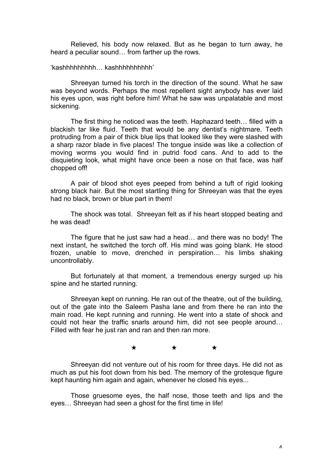Relieved, his body now relaxed. But as he began to turn away, he heard a peculiar sound… from farther up the rows.

'kashhhhhhhhh… kashhhhhhhhhh'

Shreeyan turned his torch in the direction of the sound. What he saw was beyond words. Perhaps the most repellent sight anybody has ever laid his eyes upon, was right before him! What he saw was unpalatable and most sickening.

The first thing he noticed was the teeth. Haphazard teeth… filled with a blackish tar like fluid. Teeth that would be any dentist's nightmare. Teeth protruding from a pair of thick blue lips that looked like they were slashed with a sharp razor blade in five places! The tongue inside was like a collection of moving worms you would find in putrid food cans. And to add to the disquieting look, what might have once been a nose on that face, was half chopped off!

A pair of blood shot eyes peeped from behind a tuft of rigid looking strong black hair. But the most startling thing for Shreeyan was that the eyes had no black, brown or blue part in them!

The shock was total. Shreeyan felt as if his heart stopped beating and he was dead!

The figure that he just saw had a head… and there was no body! The next instant, he switched the torch off. His mind was going blank. He stood frozen, unable to move, drenched in perspiration… his limbs shaking uncontrollably.

But fortunately at that moment, a tremendous energy surged up his spine and he started running.

Shreeyan kept on running. He ran out of the theatre, out of the building, out of the gate into the Saleem Pasha lane and from there he ran into the main road. He kept running and running. He went into a state of shock and could not hear the traffic snarls around him, did not see people around… Filled with fear he just ran and ran and then ran more.

#### ★ ★ ★

Shreeyan did not venture out of his room for three days. He did not as much as put his foot down from his bed. The memory of the grotesque figure kept haunting him again and again, whenever he closed his eyes...

Those gruesome eyes, the half nose, those teeth and lips and the eyes… Shreeyan had seen a ghost for the first time in life!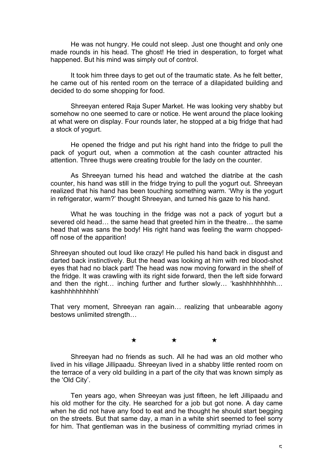He was not hungry. He could not sleep. Just one thought and only one made rounds in his head. The ghost! He tried in desperation, to forget what happened. But his mind was simply out of control.

It took him three days to get out of the traumatic state. As he felt better, he came out of his rented room on the terrace of a dilapidated building and decided to do some shopping for food.

Shreeyan entered Raja Super Market. He was looking very shabby but somehow no one seemed to care or notice. He went around the place looking at what were on display. Four rounds later, he stopped at a big fridge that had a stock of yogurt.

He opened the fridge and put his right hand into the fridge to pull the pack of yogurt out, when a commotion at the cash counter attracted his attention. Three thugs were creating trouble for the lady on the counter.

As Shreeyan turned his head and watched the diatribe at the cash counter, his hand was still in the fridge trying to pull the yogurt out. Shreeyan realized that his hand has been touching something warm. 'Why is the yogurt in refrigerator, warm?' thought Shreeyan, and turned his gaze to his hand.

What he was touching in the fridge was not a pack of yogurt but a severed old head… the same head that greeted him in the theatre… the same head that was sans the body! His right hand was feeling the warm choppedoff nose of the apparition!

Shreeyan shouted out loud like crazy! He pulled his hand back in disgust and darted back instinctively. But the head was looking at him with red blood-shot eyes that had no black part! The head was now moving forward in the shelf of the fridge. It was crawling with its right side forward, then the left side forward and then the right… inching further and further slowly… 'kashhhhhhhhh… kashhhhhhhhhh'

That very moment, Shreeyan ran again… realizing that unbearable agony bestows unlimited strength…

### ★ ★ ★

Shreeyan had no friends as such. All he had was an old mother who lived in his village Jillipaadu. Shreeyan lived in a shabby little rented room on the terrace of a very old building in a part of the city that was known simply as the 'Old City'.

Ten years ago, when Shreeyan was just fifteen, he left Jillipaadu and his old mother for the city. He searched for a job but got none. A day came when he did not have any food to eat and he thought he should start begging on the streets. But that same day, a man in a white shirt seemed to feel sorry for him. That gentleman was in the business of committing myriad crimes in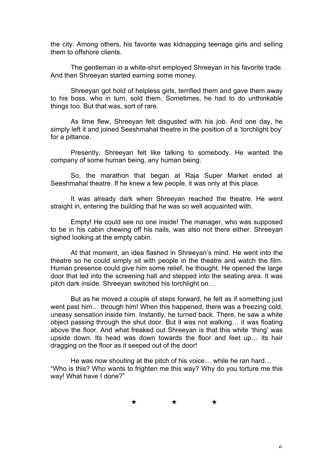the city. Among others, his favorite was kidnapping teenage girls and selling them to offshore clients.

The gentleman in a white-shirt employed Shreeyan in his favorite trade. And then Shreeyan started earning some money.

Shreeyan got hold of helpless girls, terrified them and gave them away to his boss, who in turn, sold them. Sometimes, he had to do unthinkable things too. But that was, sort of rare.

As time flew, Shreeyan felt disgusted with his job. And one day, he simply left it and joined Seeshmahal theatre in the position of a 'torchlight boy' for a pittance.

Presently, Shreeyan felt like talking to somebody. He wanted the company of some human being, any human being.

So, the marathon that began at Raja Super Market ended at Seeshmahal theatre. If he knew a few people, it was only at this place.

It was already dark when Shreeyan reached the theatre. He went straight in, entering the building that he was so well acquainted with.

Empty! He could see no one inside! The manager, who was supposed to be in his cabin chewing off his nails, was also not there either. Shreeyan sighed looking at the empty cabin.

At that moment, an idea flashed in Shreeyan's mind. He went into the theatre so he could simply sit with people in the theatre and watch the film. Human presence could give him some relief, he thought. He opened the large door that led into the screening hall and stepped into the seating area. It was pitch dark inside. Shreeyan switched his torchlight on…

But as he moved a couple of steps forward, he felt as if something just went past him… through him! When this happened, there was a freezing cold, uneasy sensation inside him. Instantly, he turned back. There, he saw a white object passing through the shut door. But it was not walking… it was floating above the floor. And what freaked out Shreeyan is that this white 'thing' was upside down. Its head was down towards the floor and feet up… its hair dragging on the floor as it seeped out of the door!

He was now shouting at the pitch of his voice… while he ran hard… "Who is this? Who wants to frighten me this way? Why do you torture me this way! What have I done?"

★ ★ ★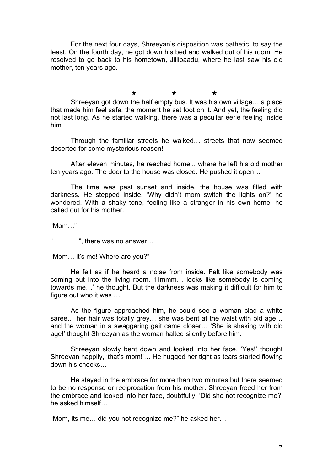For the next four days, Shreeyan's disposition was pathetic, to say the least. On the fourth day, he got down his bed and walked out of his room. He resolved to go back to his hometown, Jillipaadu, where he last saw his old mother, ten years ago.

#### ★ ★ ★

Shreeyan got down the half empty bus. It was his own village… a place that made him feel safe, the moment he set foot on it. And yet, the feeling did not last long. As he started walking, there was a peculiar eerie feeling inside him.

Through the familiar streets he walked… streets that now seemed deserted for some mysterious reason!

After eleven minutes, he reached home... where he left his old mother ten years ago. The door to the house was closed. He pushed it open…

The time was past sunset and inside, the house was filled with darkness. He stepped inside. 'Why didn't mom switch the lights on?' he wondered. With a shaky tone, feeling like a stranger in his own home, he called out for his mother.

"Mom…"

", there was no answer...

"Mom… it's me! Where are you?"

He felt as if he heard a noise from inside. Felt like somebody was coming out into the living room. 'Hmmm… looks like somebody is coming towards me…' he thought. But the darkness was making it difficult for him to figure out who it was …

As the figure approached him, he could see a woman clad a white saree... her hair was totally grey... she was bent at the waist with old age... and the woman in a swaggering gait came closer… 'She is shaking with old age!' thought Shreeyan as the woman halted silently before him.

Shreeyan slowly bent down and looked into her face. 'Yes!' thought Shreeyan happily, 'that's mom!'… He hugged her tight as tears started flowing down his cheeks…

He stayed in the embrace for more than two minutes but there seemed to be no response or reciprocation from his mother. Shreeyan freed her from the embrace and looked into her face, doubtfully. 'Did she not recognize me?' he asked himself…

"Mom, its me… did you not recognize me?" he asked her…